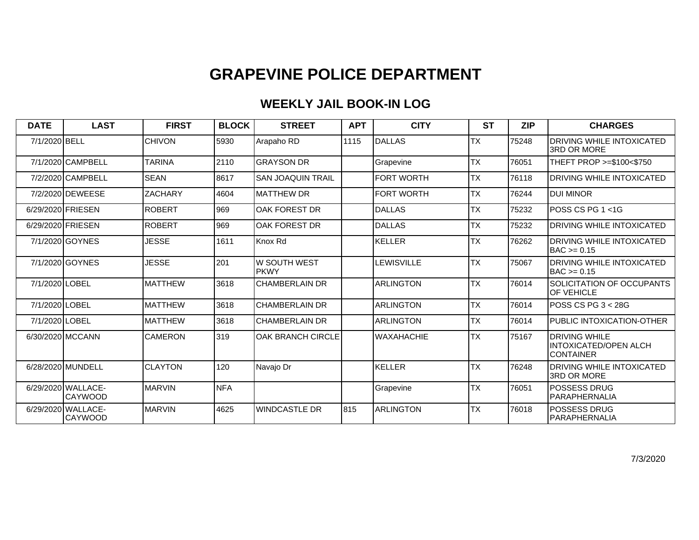## **GRAPEVINE POLICE DEPARTMENT**

## **WEEKLY JAIL BOOK-IN LOG**

| <b>DATE</b>       | <b>LAST</b>                          | <b>FIRST</b>    | <b>BLOCK</b> | <b>STREET</b>                | <b>APT</b> | <b>CITY</b>       | <b>ST</b> | <b>ZIP</b> | <b>CHARGES</b>                                                     |
|-------------------|--------------------------------------|-----------------|--------------|------------------------------|------------|-------------------|-----------|------------|--------------------------------------------------------------------|
| 7/1/2020 BELL     |                                      | <b>CHIVON</b>   | 5930         | Arapaho RD                   | 1115       | DALLAS            | <b>TX</b> | 75248      | <b>DRIVING WHILE INTOXICATED</b><br><b>3RD OR MORE</b>             |
|                   | 7/1/2020 CAMPBELL                    | <b>TARINA</b>   | 2110         | <b>GRAYSON DR</b>            |            | Grapevine         | <b>TX</b> | 76051      | THEFT PROP >=\$100<\$750                                           |
|                   | 7/2/2020 CAMPBELL                    | <b>SEAN</b>     | 8617         | <b>SAN JOAQUIN TRAIL</b>     |            | <b>FORT WORTH</b> | <b>TX</b> | 76118      | <b>DRIVING WHILE INTOXICATED</b>                                   |
|                   | 7/2/2020 DEWEESE                     | <b>ZACHARY</b>  | 4604         | <b>MATTHEW DR</b>            |            | <b>FORT WORTH</b> | <b>TX</b> | 76244      | <b>DUI MINOR</b>                                                   |
| 6/29/2020 FRIESEN |                                      | <b>ROBERT</b>   | 969          | OAK FOREST DR                |            | DALLAS            | <b>TX</b> | 75232      | lPOSS CS PG 1 <1G                                                  |
| 6/29/2020 FRIESEN |                                      | <b>ROBERT</b>   | 969          | OAK FOREST DR                |            | DALLAS            | <b>TX</b> | 75232      | <b>DRIVING WHILE INTOXICATED</b>                                   |
|                   | 7/1/2020 GOYNES                      | <b>JESSE</b>    | 1611         | Knox Rd                      |            | <b>KELLER</b>     | <b>TX</b> | 76262      | <b>DRIVING WHILE INTOXICATED</b><br>BAC >= 0.15                    |
|                   | 7/1/2020 GOYNES                      | <b>JESSE</b>    | 201          | lw south west<br><b>PKWY</b> |            | <b>LEWISVILLE</b> | <b>TX</b> | 75067      | <b>DRIVING WHILE INTOXICATED</b><br>$IBAC \ge 0.15$                |
| 7/1/2020 LOBEL    |                                      | <b>MATTHEW</b>  | 3618         | <b>CHAMBERLAIN DR</b>        |            | <b>ARLINGTON</b>  | <b>TX</b> | 76014      | SOLICITATION OF OCCUPANTS<br><b>IOF VEHICLE</b>                    |
| 7/1/2020 LOBEL    |                                      | <b>IMATTHEW</b> | 3618         | <b>CHAMBERLAIN DR</b>        |            | <b>ARLINGTON</b>  | <b>TX</b> | 76014      | IPOSS CS PG 3 < 28G                                                |
| 7/1/2020 LOBEL    |                                      | <b>MATTHEW</b>  | 3618         | <b>CHAMBERLAIN DR</b>        |            | <b>ARLINGTON</b>  | <b>TX</b> | 76014      | PUBLIC INTOXICATION-OTHER                                          |
|                   | 6/30/2020 MCCANN                     | <b>CAMERON</b>  | 319          | <b>OAK BRANCH CIRCLE</b>     |            | <b>WAXAHACHIE</b> | <b>TX</b> | 75167      | <b>DRIVING WHILE</b><br><b>INTOXICATED/OPEN ALCH</b><br>ICONTAINER |
|                   | 6/28/2020 MUNDELL                    | ICLAYTON        | 120          | Navajo Dr                    |            | KELLER            | <b>TX</b> | 76248      | IDRIVING WHILE INTOXICATED<br>3RD OR MORE                          |
|                   | 6/29/2020 WALLACE-<br>ICAYWOOD       | <b>IMARVIN</b>  | <b>NFA</b>   |                              |            | Grapevine         | <b>TX</b> | 76051      | lPOSSESS DRUG<br>PARAPHERNALIA                                     |
|                   | 6/29/2020 WALLACE-<br><b>CAYWOOD</b> | <b>MARVIN</b>   | 4625         | <b>WINDCASTLE DR</b>         | 815        | <b>ARLINGTON</b>  | <b>TX</b> | 76018      | <b>POSSESS DRUG</b><br>IPARAPHERNALIA                              |

7/3/2020